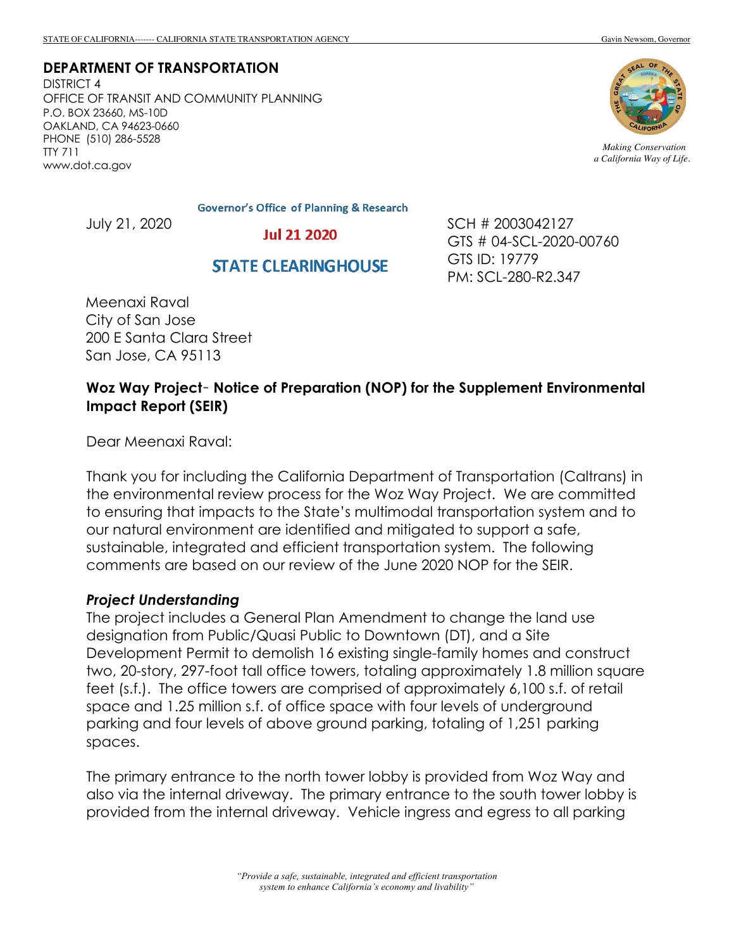**DEPARTMENT OF TRANSPORTATION** DISTRICT 4

OFFICE OF TRANSIT AND COMMUNITY PLANNING P.O. BOX 23660, MS-10D OAKLAND, CA 94623-0660 PHONE (510) 286-5528 TTY 711 www.dot.ca.gov



*Making Conservation a California Way of Life.*

**Governor's Office of Planning & Research** 

July 21, 2020

**Jul 21 2020** 

## **STATE CLEARINGHOUSE**

SCH # 2003042127 GTS # 04-SCL-2020-00760 GTS ID: 19779 PM: SCL-280-R2.347

Meenaxi Raval City of San Jose 200 E Santa Clara Street San Jose, CA 95113

### **Woz Way Project**– **Notice of Preparation (NOP) for the Supplement Environmental Impact Report (SEIR)**

Dear Meenaxi Raval:

Thank you for including the California Department of Transportation (Caltrans) in the environmental review process for the Woz Way Project. We are committed to ensuring that impacts to the State's multimodal transportation system and to our natural environment are identified and mitigated to support a safe, sustainable, integrated and efficient transportation system. The following comments are based on our review of the June 2020 NOP for the SEIR.

#### *Project Understanding*

The project includes a General Plan Amendment to change the land use designation from Public/Quasi Public to Downtown (DT), and a Site Development Permit to demolish 16 existing single-family homes and construct two, 20-story, 297-foot tall office towers, totaling approximately 1.8 million square feet (s.f.). The office towers are comprised of approximately 6,100 s.f. of retail space and 1.25 million s.f. of office space with four levels of underground parking and four levels of above ground parking, totaling of 1,251 parking spaces.

The primary entrance to the north tower lobby is provided from Woz Way and also via the internal driveway. The primary entrance to the south tower lobby is provided from the internal driveway. Vehicle ingress and egress to all parking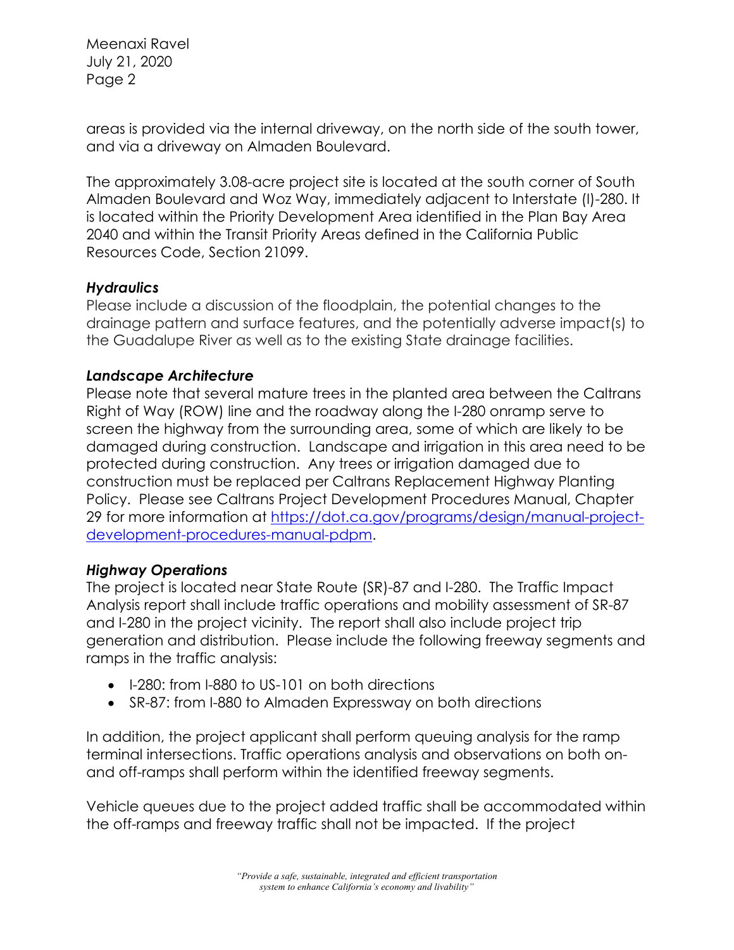areas is provided via the internal driveway, on the north side of the south tower, and via a driveway on Almaden Boulevard.

The approximately 3.08-acre project site is located at the south corner of South Almaden Boulevard and Woz Way, immediately adjacent to Interstate (I)-280. It is located within the Priority Development Area identified in the Plan Bay Area 2040 and within the Transit Priority Areas defined in the California Public Resources Code, Section 21099.

### *Hydraulics*

Please include a discussion of the floodplain, the potential changes to the drainage pattern and surface features, and the potentially adverse impact(s) to the Guadalupe River as well as to the existing State drainage facilities.

# *Landscape Architecture*

Please note that several mature trees in the planted area between the Caltrans Right of Way (ROW) line and the roadway along the I-280 onramp serve to screen the highway from the surrounding area, some of which are likely to be damaged during construction. Landscape and irrigation in this area need to be protected during construction. Any trees or irrigation damaged due to construction must be replaced per Caltrans Replacement Highway Planting Policy. Please see Caltrans Project Development Procedures Manual, Chapter 29 for more information at https://dot.ca.gov/programs/design/manual-projectdevelopment-procedures-manual-pdpm.

### *Highway Operations*

The project is located near State Route (SR)-87 and I-280. The Traffic Impact Analysis report shall include traffic operations and mobility assessment of SR-87 and I-280 in the project vicinity. The report shall also include project trip generation and distribution. Please include the following freeway segments and ramps in the traffic analysis:

- I-280: from I-880 to US-101 on both directions
- SR-87: from I-880 to Almaden Expressway on both directions

In addition, the project applicant shall perform queuing analysis for the ramp terminal intersections. Traffic operations analysis and observations on both onand off-ramps shall perform within the identified freeway segments.

Vehicle queues due to the project added traffic shall be accommodated within the off-ramps and freeway traffic shall not be impacted. If the project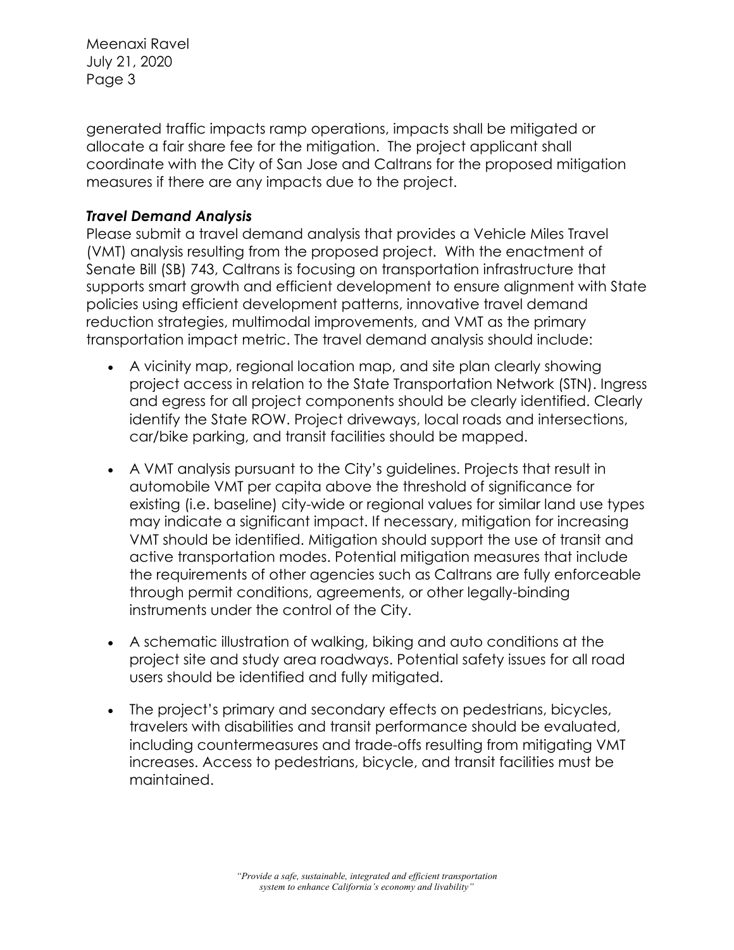generated traffic impacts ramp operations, impacts shall be mitigated or allocate a fair share fee for the mitigation. The project applicant shall coordinate with the City of San Jose and Caltrans for the proposed mitigation measures if there are any impacts due to the project.

# *Travel Demand Analysis*

Please submit a travel demand analysis that provides a Vehicle Miles Travel (VMT) analysis resulting from the proposed project. With the enactment of Senate Bill (SB) 743, Caltrans is focusing on transportation infrastructure that supports smart growth and efficient development to ensure alignment with State policies using efficient development patterns, innovative travel demand reduction strategies, multimodal improvements, and VMT as the primary transportation impact metric. The travel demand analysis should include:

- A vicinity map, regional location map, and site plan clearly showing project access in relation to the State Transportation Network (STN). Ingress and egress for all project components should be clearly identified. Clearly identify the State ROW. Project driveways, local roads and intersections, car/bike parking, and transit facilities should be mapped.
- A VMT analysis pursuant to the City's guidelines. Projects that result in automobile VMT per capita above the threshold of significance for existing (i.e. baseline) city-wide or regional values for similar land use types may indicate a significant impact. If necessary, mitigation for increasing VMT should be identified. Mitigation should support the use of transit and active transportation modes. Potential mitigation measures that include the requirements of other agencies such as Caltrans are fully enforceable through permit conditions, agreements, or other legally-binding instruments under the control of the City.
- A schematic illustration of walking, biking and auto conditions at the project site and study area roadways. Potential safety issues for all road users should be identified and fully mitigated.
- The project's primary and secondary effects on pedestrians, bicycles, travelers with disabilities and transit performance should be evaluated, including countermeasures and trade-offs resulting from mitigating VMT increases. Access to pedestrians, bicycle, and transit facilities must be maintained.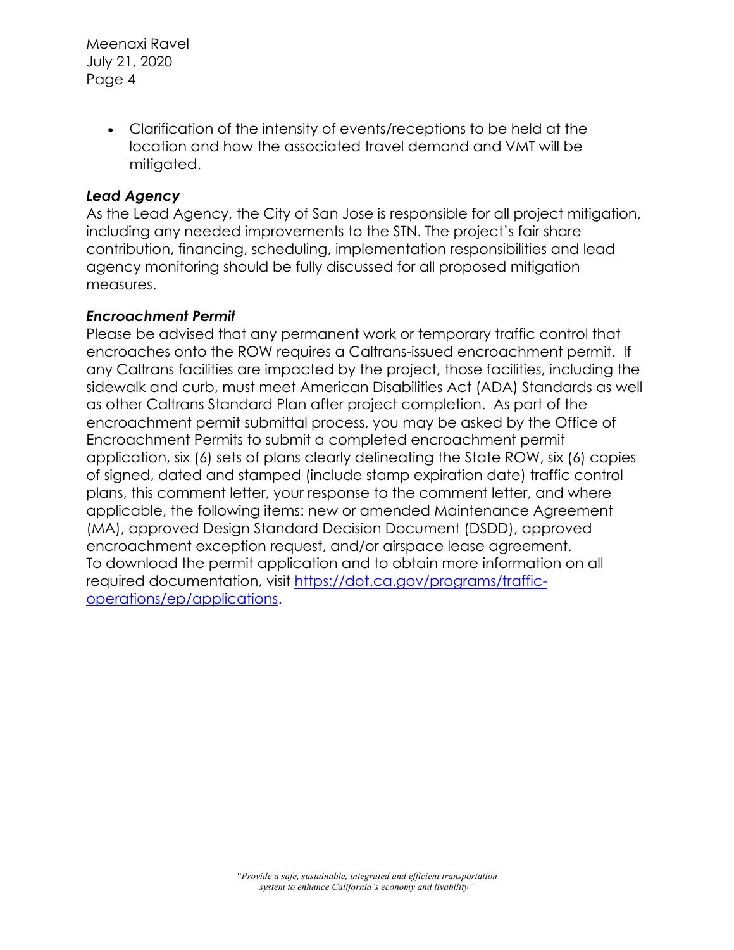> • Clarification of the intensity of events/receptions to be held at the location and how the associated travel demand and VMT will be mitigated.

### *Lead Agency*

As the Lead Agency, the City of San Jose is responsible for all project mitigation, including any needed improvements to the STN. The project's fair share contribution, financing, scheduling, implementation responsibilities and lead agency monitoring should be fully discussed for all proposed mitigation measures.

### *Encroachment Permit*

Please be advised that any permanent work or temporary traffic control that encroaches onto the ROW requires a Caltrans-issued encroachment permit. If any Caltrans facilities are impacted by the project, those facilities, including the sidewalk and curb, must meet American Disabilities Act (ADA) Standards as well as other Caltrans Standard Plan after project completion. As part of the encroachment permit submittal process, you may be asked by the Office of Encroachment Permits to submit a completed encroachment permit application, six (6) sets of plans clearly delineating the State ROW, six (6) copies of signed, dated and stamped (include stamp expiration date) traffic control plans, this comment letter, your response to the comment letter, and where applicable, the following items: new or amended Maintenance Agreement (MA), approved Design Standard Decision Document (DSDD), approved encroachment exception request, and/or airspace lease agreement. To download the permit application and to obtain more information on all required documentation, visit https://dot.ca.gov/programs/trafficoperations/ep/applications.